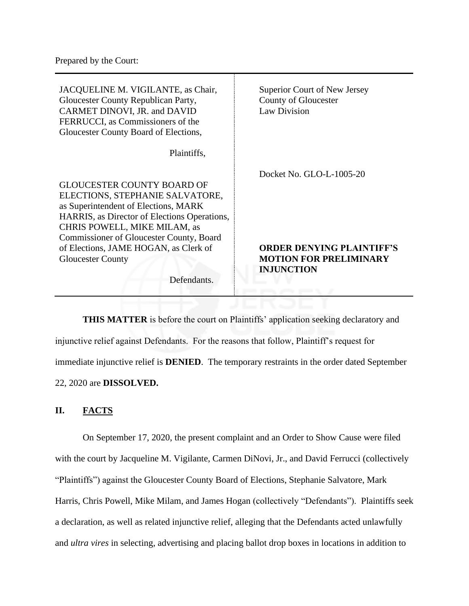| JACQUELINE M. VIGILANTE, as Chair,<br>Gloucester County Republican Party,<br>CARMET DINOVI, JR. and DAVID<br>FERRUCCI, as Commissioners of the<br>Gloucester County Board of Elections, | Superior Court of New Jersey<br>County of Gloucester<br>Law Division |
|-----------------------------------------------------------------------------------------------------------------------------------------------------------------------------------------|----------------------------------------------------------------------|
| Plaintiffs,                                                                                                                                                                             |                                                                      |
|                                                                                                                                                                                         | Docket No. GLO-L-1005-20                                             |
| <b>GLOUCESTER COUNTY BOARD OF</b>                                                                                                                                                       |                                                                      |
| ELECTIONS, STEPHANIE SALVATORE,                                                                                                                                                         |                                                                      |
| as Superintendent of Elections, MARK                                                                                                                                                    |                                                                      |
| HARRIS, as Director of Elections Operations,                                                                                                                                            |                                                                      |
| CHRIS POWELL, MIKE MILAM, as                                                                                                                                                            |                                                                      |
| Commissioner of Gloucester County, Board                                                                                                                                                |                                                                      |
| of Elections, JAME HOGAN, as Clerk of                                                                                                                                                   | <b>ORDER DENYING PLAINTIFF'S</b>                                     |
| <b>Gloucester County</b>                                                                                                                                                                | <b>MOTION FOR PRELIMINARY</b>                                        |
|                                                                                                                                                                                         | <b>INJUNCTION</b>                                                    |
| Defendants.                                                                                                                                                                             |                                                                      |
|                                                                                                                                                                                         |                                                                      |

**THIS MATTER** is before the court on Plaintiffs' application seeking declaratory and injunctive relief against Defendants. For the reasons that follow, Plaintiff's request for immediate injunctive relief is **DENIED**. The temporary restraints in the order dated September 22, 2020 are **DISSOLVED.**

## **II. FACTS**

On September 17, 2020, the present complaint and an Order to Show Cause were filed with the court by Jacqueline M. Vigilante, Carmen DiNovi, Jr., and David Ferrucci (collectively "Plaintiffs") against the Gloucester County Board of Elections, Stephanie Salvatore, Mark Harris, Chris Powell, Mike Milam, and James Hogan (collectively "Defendants"). Plaintiffs seek a declaration, as well as related injunctive relief, alleging that the Defendants acted unlawfully and *ultra vires* in selecting, advertising and placing ballot drop boxes in locations in addition to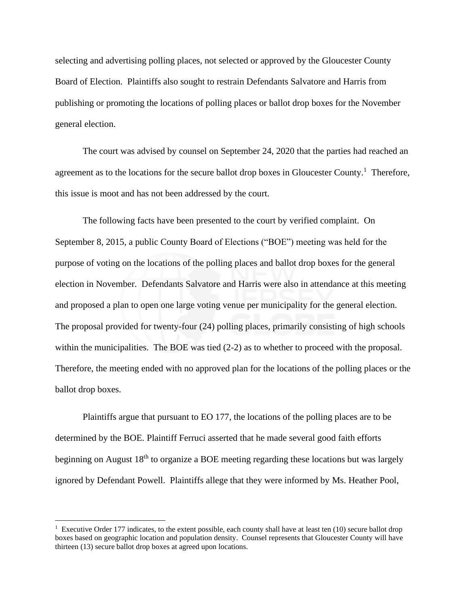selecting and advertising polling places, not selected or approved by the Gloucester County Board of Election. Plaintiffs also sought to restrain Defendants Salvatore and Harris from publishing or promoting the locations of polling places or ballot drop boxes for the November general election.

The court was advised by counsel on September 24, 2020 that the parties had reached an agreement as to the locations for the secure ballot drop boxes in Gloucester County.<sup>1</sup> Therefore, this issue is moot and has not been addressed by the court.

The following facts have been presented to the court by verified complaint. On September 8, 2015, a public County Board of Elections ("BOE") meeting was held for the purpose of voting on the locations of the polling places and ballot drop boxes for the general election in November. Defendants Salvatore and Harris were also in attendance at this meeting and proposed a plan to open one large voting venue per municipality for the general election. The proposal provided for twenty-four (24) polling places, primarily consisting of high schools within the municipalities. The BOE was tied  $(2-2)$  as to whether to proceed with the proposal. Therefore, the meeting ended with no approved plan for the locations of the polling places or the ballot drop boxes.

Plaintiffs argue that pursuant to EO 177, the locations of the polling places are to be determined by the BOE. Plaintiff Ferruci asserted that he made several good faith efforts beginning on August 18<sup>th</sup> to organize a BOE meeting regarding these locations but was largely ignored by Defendant Powell. Plaintiffs allege that they were informed by Ms. Heather Pool,

<sup>&</sup>lt;sup>1</sup> Executive Order 177 indicates, to the extent possible, each county shall have at least ten (10) secure ballot drop boxes based on geographic location and population density. Counsel represents that Gloucester County will have thirteen (13) secure ballot drop boxes at agreed upon locations.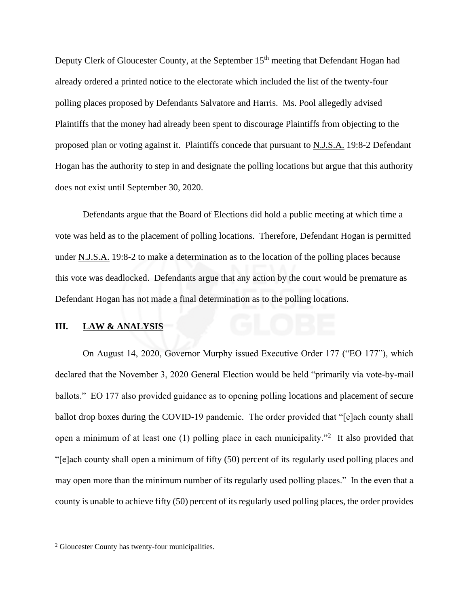Deputy Clerk of Gloucester County, at the September 15<sup>th</sup> meeting that Defendant Hogan had already ordered a printed notice to the electorate which included the list of the twenty-four polling places proposed by Defendants Salvatore and Harris. Ms. Pool allegedly advised Plaintiffs that the money had already been spent to discourage Plaintiffs from objecting to the proposed plan or voting against it. Plaintiffs concede that pursuant to N.J.S.A. 19:8-2 Defendant Hogan has the authority to step in and designate the polling locations but argue that this authority does not exist until September 30, 2020.

Defendants argue that the Board of Elections did hold a public meeting at which time a vote was held as to the placement of polling locations. Therefore, Defendant Hogan is permitted under N.J.S.A. 19:8-2 to make a determination as to the location of the polling places because this vote was deadlocked. Defendants argue that any action by the court would be premature as Defendant Hogan has not made a final determination as to the polling locations.

## **III. LAW & ANALYSIS**

On August 14, 2020, Governor Murphy issued Executive Order 177 ("EO 177"), which declared that the November 3, 2020 General Election would be held "primarily via vote-by-mail ballots." EO 177 also provided guidance as to opening polling locations and placement of secure ballot drop boxes during the COVID-19 pandemic. The order provided that "[e]ach county shall open a minimum of at least one  $(1)$  polling place in each municipality."<sup>2</sup> It also provided that "[e]ach county shall open a minimum of fifty (50) percent of its regularly used polling places and may open more than the minimum number of its regularly used polling places." In the even that a county is unable to achieve fifty (50) percent of its regularly used polling places, the order provides

<sup>2</sup> Gloucester County has twenty-four municipalities.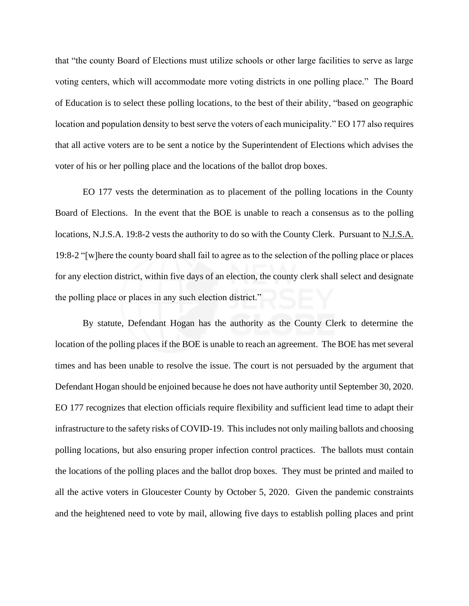that "the county Board of Elections must utilize schools or other large facilities to serve as large voting centers, which will accommodate more voting districts in one polling place." The Board of Education is to select these polling locations, to the best of their ability, "based on geographic location and population density to best serve the voters of each municipality." EO 177 also requires that all active voters are to be sent a notice by the Superintendent of Elections which advises the voter of his or her polling place and the locations of the ballot drop boxes.

EO 177 vests the determination as to placement of the polling locations in the County Board of Elections. In the event that the BOE is unable to reach a consensus as to the polling locations, N.J.S.A. 19:8-2 vests the authority to do so with the County Clerk. Pursuant to N.J.S.A. 19:8-2 "[w]here the county board shall fail to agree as to the selection of the polling place or places for any election district, within five days of an election, the county clerk shall select and designate the polling place or places in any such election district."

By statute, Defendant Hogan has the authority as the County Clerk to determine the location of the polling places if the BOE is unable to reach an agreement. The BOE has met several times and has been unable to resolve the issue. The court is not persuaded by the argument that Defendant Hogan should be enjoined because he does not have authority until September 30, 2020. EO 177 recognizes that election officials require flexibility and sufficient lead time to adapt their infrastructure to the safety risks of COVID-19. This includes not only mailing ballots and choosing polling locations, but also ensuring proper infection control practices. The ballots must contain the locations of the polling places and the ballot drop boxes. They must be printed and mailed to all the active voters in Gloucester County by October 5, 2020. Given the pandemic constraints and the heightened need to vote by mail, allowing five days to establish polling places and print